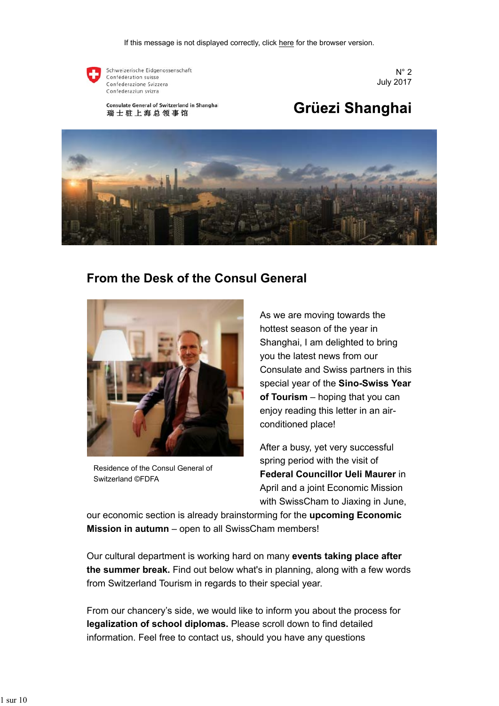

Schweizerische Eidgenossenschaft Confédération suisse Confederazione Svizzera Confederaziun svizra

 $N^{\circ}$  2 July 2017

Consulate General of Switzerland in Shanghai 瑞士驻上海总领事馆

# Grüezi Shanghai



### **From the Desk of the Consul General**



Residence of the Consul General of Switzerland ©FDFA

As we are moving towards the hottest season of the year in Shanghai, I am delighted to bring you the latest news from our Consulate and Swiss partners in this special year of the **Sino-Swiss Year of Tourism** – hoping that you can enjoy reading this letter in an airconditioned place!

After a busy, yet very successful spring period with the visit of **Federal Councillor Ueli Maurer** in April and a joint Economic Mission with SwissCham to Jiaxing in June,

our economic section is already brainstorming for the **upcoming Economic Mission in autumn** – open to all SwissCham members!

Our cultural department is working hard on many **events taking place after the summer break.** Find out below what's in planning, along with a few words from Switzerland Tourism in regards to their special year.

From our chancery's side, we would like to inform you about the process for **legalization of school diplomas.** Please scroll down to find detailed information. Feel free to contact us, should you have any questions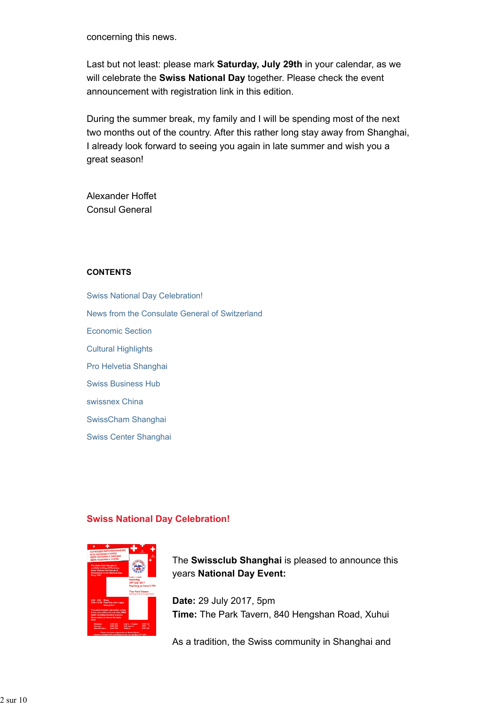concerning this news.

Last but not least: please mark **Saturday, July 29th** in your calendar, as we will celebrate the **Swiss National Day** together. Please check the event announcement with registration link in this edition.

During the summer break, my family and I will be spending most of the next two months out of the country. After this rather long stay away from Shanghai, I already look forward to seeing you again in late summer and wish you a great season!

Alexander Hoffet Consul General

#### **CONTENTS**

Swiss National Day Celebration! News from the Consulate General of Switzerland Economic Section Cultural Highlights Pro Helvetia Shanghai Swiss Business Hub swissnex China SwissCham Shanghai Swiss Center Shanghai

#### **Swiss National Day Celebration!**



The **Swissclub Shanghai** is pleased to announce this years **National Day Event:**

**Date:** 29 July 2017, 5pm **Time:** The Park Tavern, 840 Hengshan Road, Xuhui

As a tradition, the Swiss community in Shanghai and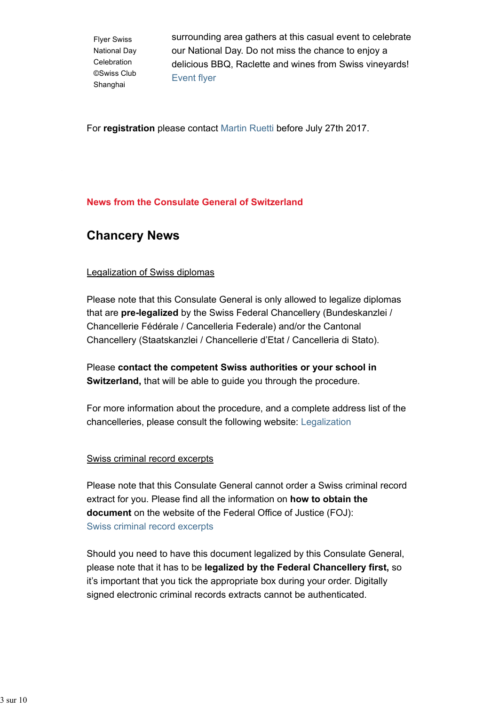Flyer Swiss National Day Celebration ©Swiss Club Shanghai

surrounding area gathers at this casual event to celebrate our National Day. Do not miss the chance to enjoy a delicious BBQ, Raclette and wines from Swiss vineyards! Event flyer

For **registration** please contact Martin Ruetti before July 27th 2017.

### **News from the Consulate General of Switzerland**

### **Chancery News**

### Legalization of Swiss diplomas

Please note that this Consulate General is only allowed to legalize diplomas that are **pre-legalized** by the Swiss Federal Chancellery (Bundeskanzlei / Chancellerie Fédérale / Cancelleria Federale) and/or the Cantonal Chancellery (Staatskanzlei / Chancellerie d'Etat / Cancelleria di Stato).

Please **contact the competent Swiss authorities or your school in Switzerland,** that will be able to quide you through the procedure.

For more information about the procedure, and a complete address list of the chancelleries, please consult the following website: Legalization

#### Swiss criminal record excerpts

Please note that this Consulate General cannot order a Swiss criminal record extract for you. Please find all the information on **how to obtain the document** on the website of the Federal Office of Justice (FOJ): Swiss criminal record excerpts

Should you need to have this document legalized by this Consulate General, please note that it has to be **legalized by the Federal Chancellery first,** so it's important that you tick the appropriate box during your order. Digitally signed electronic criminal records extracts cannot be authenticated.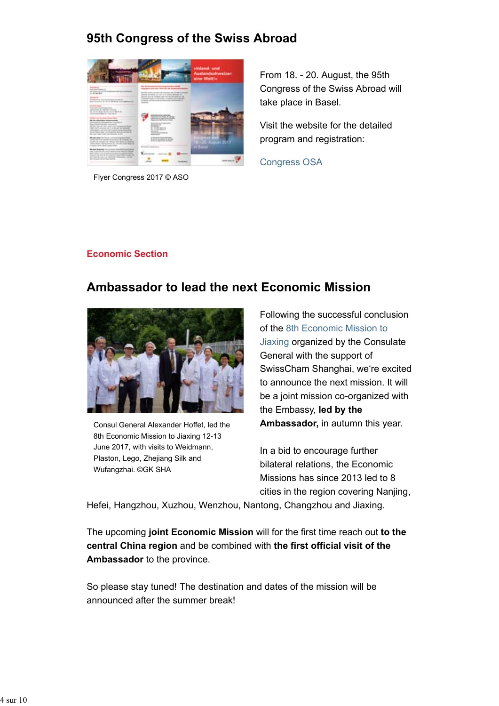### **95th Congress of the Swiss Abroad**



Flyer Congress 2017 © ASO

From 18. - 20. August, the 95th Congress of the Swiss Abroad will take place in Basel.

Visit the website for the detailed program and registration:

Congress OSA

#### **Economic Section**

### **Ambassador to lead the next Economic Mission**



Consul General Alexander Hoffet, led the 8th Economic Mission to Jiaxing 12-13 June 2017, with visits to Weidmann, Plaston, Lego, Zhejiang Silk and Wufangzhai. ©GK SHA

Following the successful conclusion of the 8th Economic Mission to Jiaxing organized by the Consulate General with the support of SwissCham Shanghai, we're excited to announce the next mission. It will be a joint mission co-organized with the Embassy, **led by the Ambassador,** in autumn this year.

In a bid to encourage further bilateral relations, the Economic Missions has since 2013 led to 8 cities in the region covering Nanjing,

Hefei, Hangzhou, Xuzhou, Wenzhou, Nantong, Changzhou and Jiaxing.

The upcoming **joint Economic Mission** will for the first time reach out **to the central China region** and be combined with **the first official visit of the Ambassador** to the province.

So please stay tuned! The destination and dates of the mission will be announced after the summer break!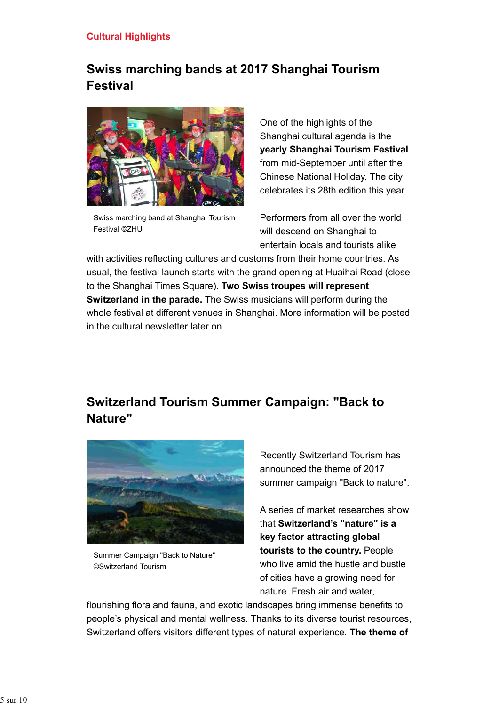### **Cultural Highlights**

## **Swiss marching bands at 2017 Shanghai Tourism Festival**



Swiss marching band at Shanghai Tourism Festival ©ZHU

One of the highlights of the Shanghai cultural agenda is the **yearly Shanghai Tourism Festival** from mid-September until after the Chinese National Holiday. The city celebrates its 28th edition this year.

Performers from all over the world will descend on Shanghai to entertain locals and tourists alike

with activities reflecting cultures and customs from their home countries. As usual, the festival launch starts with the grand opening at Huaihai Road (close to the Shanghai Times Square). **Two Swiss troupes will represent Switzerland in the parade.** The Swiss musicians will perform during the whole festival at different venues in Shanghai. More information will be posted in the cultural newsletter later on.

## **Switzerland Tourism Summer Campaign: "Back to Nature"**



Summer Campaign "Back to Nature" ©Switzerland Tourism

Recently Switzerland Tourism has announced the theme of 2017 summer campaign "Back to nature".

A series of market researches show that **Switzerland's "nature" is a key factor attracting global tourists to the country.** People who live amid the hustle and bustle of cities have a growing need for nature. Fresh air and water,

flourishing flora and fauna, and exotic landscapes bring immense benefits to people's physical and mental wellness. Thanks to its diverse tourist resources, Switzerland offers visitors different types of natural experience. **The theme of**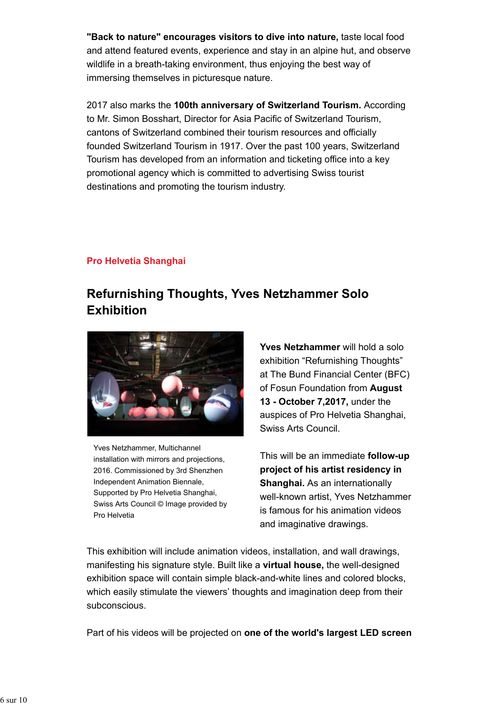**"Back to nature" encourages visitors to dive into nature,** taste local food and attend featured events, experience and stay in an alpine hut, and observe wildlife in a breath-taking environment, thus enjoying the best way of immersing themselves in picturesque nature.

2017 also marks the **100th anniversary of Switzerland Tourism.** According to Mr. Simon Bosshart, Director for Asia Pacific of Switzerland Tourism, cantons of Switzerland combined their tourism resources and officially founded Switzerland Tourism in 1917. Over the past 100 years, Switzerland Tourism has developed from an information and ticketing office into a key promotional agency which is committed to advertising Swiss tourist destinations and promoting the tourism industry.

### **Pro Helvetia Shanghai**

# **Refurnishing Thoughts, Yves Netzhammer Solo Exhibition**



Yves Netzhammer, Multichannel installation with mirrors and projections, 2016. Commissioned by 3rd Shenzhen Independent Animation Biennale, Supported by Pro Helvetia Shanghai, Swiss Arts Council © Image provided by Pro Helvetia

**Yves Netzhammer** will hold a solo exhibition "Refurnishing Thoughts" at The Bund Financial Center (BFC) of Fosun Foundation from **August 13 - October 7,2017,** under the auspices of Pro Helvetia Shanghai, Swiss Arts Council.

This will be an immediate **follow-up project of his artist residency in Shanghai.** As an internationally well-known artist, Yves Netzhammer is famous for his animation videos and imaginative drawings.

This exhibition will include animation videos, installation, and wall drawings, manifesting his signature style. Built like a **virtual house,** the well-designed exhibition space will contain simple black-and-white lines and colored blocks, which easily stimulate the viewers' thoughts and imagination deep from their subconscious.

Part of his videos will be projected on **one of the world's largest LED screen**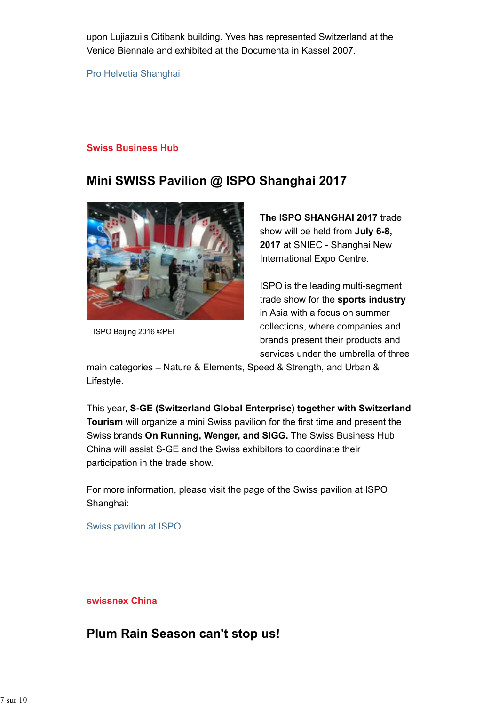upon Lujiazui's Citibank building. Yves has represented Switzerland at the Venice Biennale and exhibited at the Documenta in Kassel 2007.

Pro Helvetia Shanghai

#### **Swiss Business Hub**

## **Mini SWISS Pavilion @ ISPO Shanghai 2017**



ISPO Beijing 2016 ©PEI

**The ISPO SHANGHAI 2017** trade show will be held from **July 6-8, 2017** at SNIEC - Shanghai New International Expo Centre.

ISPO is the leading multi-segment trade show for the **sports industry** in Asia with a focus on summer collections, where companies and brands present their products and services under the umbrella of three

main categories – Nature & Elements, Speed & Strength, and Urban & Lifestyle.

This year, **S-GE (Switzerland Global Enterprise) together with Switzerland Tourism** will organize a mini Swiss pavilion for the first time and present the Swiss brands **On Running, Wenger, and SIGG.** The Swiss Business Hub China will assist S-GE and the Swiss exhibitors to coordinate their participation in the trade show.

For more information, please visit the page of the Swiss pavilion at ISPO Shanghai:

Swiss pavilion at ISPO

**swissnex China**

### **Plum Rain Season can't stop us!**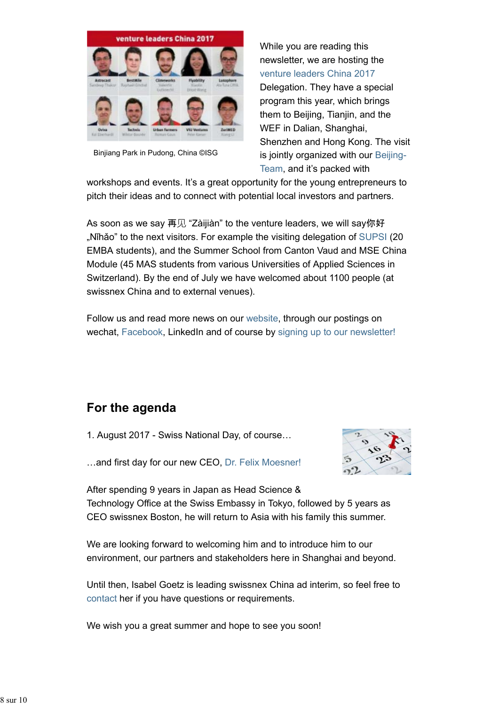

Binjiang Park in Pudong, China ©ISG

While you are reading this newsletter, we are hosting the venture leaders China 2017 Delegation. They have a special program this year, which brings them to Beijing, Tianjin, and the WEF in Dalian, Shanghai, Shenzhen and Hong Kong. The visit is jointly organized with our Beijing-Team, and it's packed with

workshops and events. It's a great opportunity for the young entrepreneurs to pitch their ideas and to connect with potential local investors and partners.

As soon as we say 再见 "Zàijiàn" to the venture leaders, we will say你好 "Nǐhǎo" to the next visitors. For example the visiting delegation of SUPSI (20 EMBA students), and the Summer School from Canton Vaud and MSE China Module (45 MAS students from various Universities of Applied Sciences in Switzerland). By the end of July we have welcomed about 1100 people (at swissnex China and to external venues).

Follow us and read more news on our website, through our postings on wechat, Facebook, LinkedIn and of course by signing up to our newsletter!

# **For the agenda**

1. August 2017 - Swiss National Day, of course…



…and first day for our new CEO, Dr. Felix Moesner!

After spending 9 years in Japan as Head Science & Technology Office at the Swiss Embassy in Tokyo, followed by 5 years as CEO swissnex Boston, he will return to Asia with his family this summer.

We are looking forward to welcoming him and to introduce him to our environment, our partners and stakeholders here in Shanghai and beyond.

Until then, Isabel Goetz is leading swissnex China ad interim, so feel free to contact her if you have questions or requirements.

We wish you a great summer and hope to see you soon!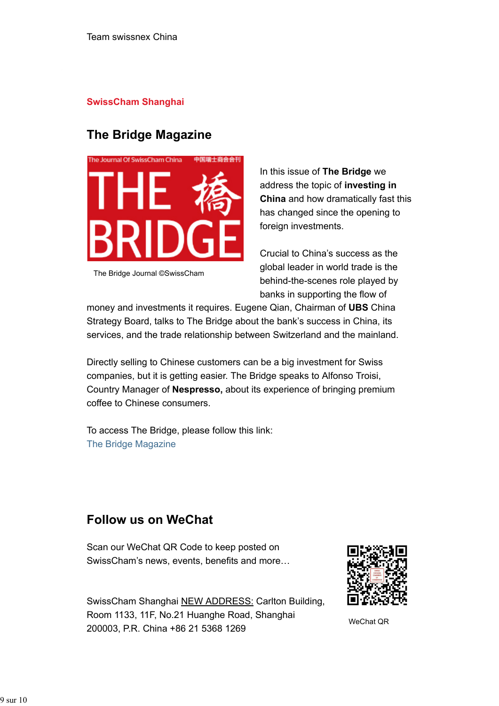#### **SwissCham Shanghai**

### **The Bridge Magazine**



The Bridge Journal ©SwissCham

In this issue of **The Bridge** we address the topic of **investing in China** and how dramatically fast this has changed since the opening to foreign investments.

Crucial to China's success as the global leader in world trade is the behind-the-scenes role played by banks in supporting the flow of

money and investments it requires. Eugene Qian, Chairman of **UBS** China Strategy Board, talks to The Bridge about the bank's success in China, its services, and the trade relationship between Switzerland and the mainland.

Directly selling to Chinese customers can be a big investment for Swiss companies, but it is getting easier. The Bridge speaks to Alfonso Troisi, Country Manager of **Nespresso,** about its experience of bringing premium coffee to Chinese consumers.

To access The Bridge, please follow this link: The Bridge Magazine

### **Follow us on WeChat**

Scan our WeChat QR Code to keep posted on SwissCham's news, events, benefits and more…



SwissCham Shanghai NEW ADDRESS: Carlton Building, Room 1133, 11F, No.21 Huanghe Road, Shanghai 200003, P.R. China +86 21 5368 1269

WeChat QR